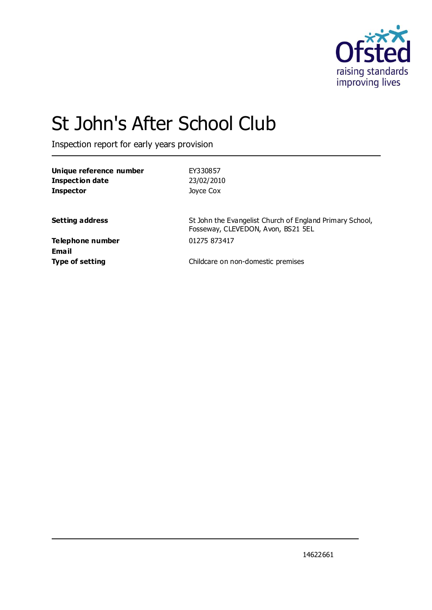

# St John's After School Club

Inspection report for early years provision

| Unique reference number<br><b>Inspection date</b><br><b>Inspector</b> | EY330857<br>23/02/2010<br>Joyce Cox                                                            |
|-----------------------------------------------------------------------|------------------------------------------------------------------------------------------------|
| <b>Setting address</b>                                                | St John the Evangelist Church of England Primary School,<br>Fosseway, CLEVEDON, Avon, BS21 5EL |
| Telephone number<br><b>Email</b>                                      | 01275 873417                                                                                   |
| <b>Type of setting</b>                                                | Childcare on non-domestic premises                                                             |

14622661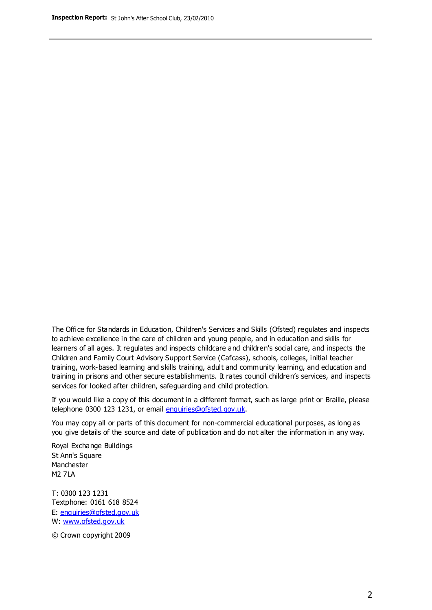The Office for Standards in Education, Children's Services and Skills (Ofsted) regulates and inspects to achieve excellence in the care of children and young people, and in education and skills for learners of all ages. It regulates and inspects childcare and children's social care, and inspects the Children and Family Court Advisory Support Service (Cafcass), schools, colleges, initial teacher training, work-based learning and skills training, adult and community learning, and education and training in prisons and other secure establishments. It rates council children's services, and inspects services for looked after children, safeguarding and child protection.

If you would like a copy of this document in a different format, such as large print or Braille, please telephone 0300 123 1231, or email enquiries@ofsted.gov.uk.

You may copy all or parts of this document for non-commercial educational purposes, as long as you give details of the source and date of publication and do not alter the information in any way.

Royal Exchange Buildings St Ann's Square Manchester M2 7LA

T: 0300 123 1231 Textphone: 0161 618 8524 E: enquiries@ofsted.gov.uk W: [www.ofsted.gov.uk](http://www.ofsted.gov.uk/)

© Crown copyright 2009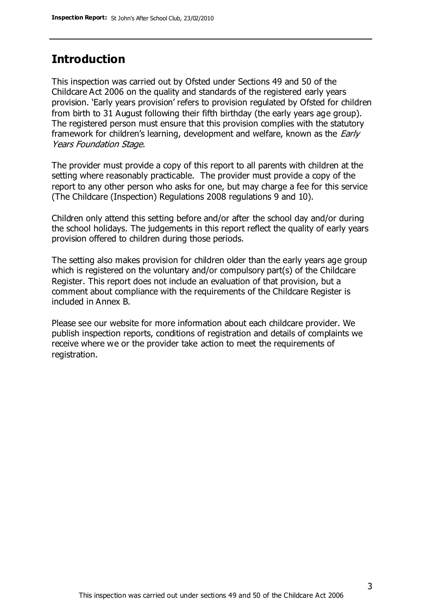### **Introduction**

This inspection was carried out by Ofsted under Sections 49 and 50 of the Childcare Act 2006 on the quality and standards of the registered early years provision. 'Early years provision' refers to provision regulated by Ofsted for children from birth to 31 August following their fifth birthday (the early years age group). The registered person must ensure that this provision complies with the statutory framework for children's learning, development and welfare, known as the *Early* Years Foundation Stage.

The provider must provide a copy of this report to all parents with children at the setting where reasonably practicable. The provider must provide a copy of the report to any other person who asks for one, but may charge a fee for this service (The Childcare (Inspection) Regulations 2008 regulations 9 and 10).

Children only attend this setting before and/or after the school day and/or during the school holidays. The judgements in this report reflect the quality of early years provision offered to children during those periods.

The setting also makes provision for children older than the early years age group which is registered on the voluntary and/or compulsory part(s) of the Childcare Register. This report does not include an evaluation of that provision, but a comment about compliance with the requirements of the Childcare Register is included in Annex B.

Please see our website for more information about each childcare provider. We publish inspection reports, conditions of registration and details of complaints we receive where we or the provider take action to meet the requirements of registration.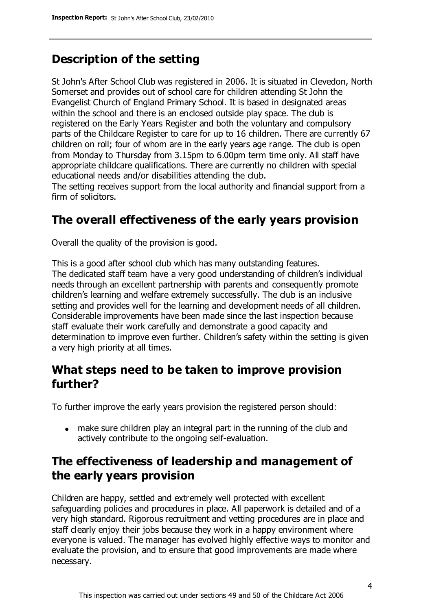## **Description of the setting**

St John's After School Club was registered in 2006. It is situated in Clevedon, North Somerset and provides out of school care for children attending St John the Evangelist Church of England Primary School. It is based in designated areas within the school and there is an enclosed outside play space. The club is registered on the Early Years Register and both the voluntary and compulsory parts of the Childcare Register to care for up to 16 children. There are currently 67 children on roll; four of whom are in the early years age range. The club is open from Monday to Thursday from 3.15pm to 6.00pm term time only. All staff have appropriate childcare qualifications. There are currently no children with special educational needs and/or disabilities attending the club.

The setting receives support from the local authority and financial support from a firm of solicitors.

## **The overall effectiveness of the early years provision**

Overall the quality of the provision is good.

This is a good after school club which has many outstanding features. The dedicated staff team have a very good understanding of children's individual needs through an excellent partnership with parents and consequently promote children's learning and welfare extremely successfully. The club is an inclusive setting and provides well for the learning and development needs of all children. Considerable improvements have been made since the last inspection because staff evaluate their work carefully and demonstrate a good capacity and determination to improve even further. Children's safety within the setting is given a very high priority at all times.

## **What steps need to be taken to improve provision further?**

To further improve the early years provision the registered person should:

• make sure children play an integral part in the running of the club and actively contribute to the ongoing self-evaluation.

## **The effectiveness of leadership and management of the early years provision**

Children are happy, settled and extremely well protected with excellent safeguarding policies and procedures in place. All paperwork is detailed and of a very high standard. Rigorous recruitment and vetting procedures are in place and staff clearly enjoy their jobs because they work in a happy environment where everyone is valued. The manager has evolved highly effective ways to monitor and evaluate the provision, and to ensure that good improvements are made where necessary.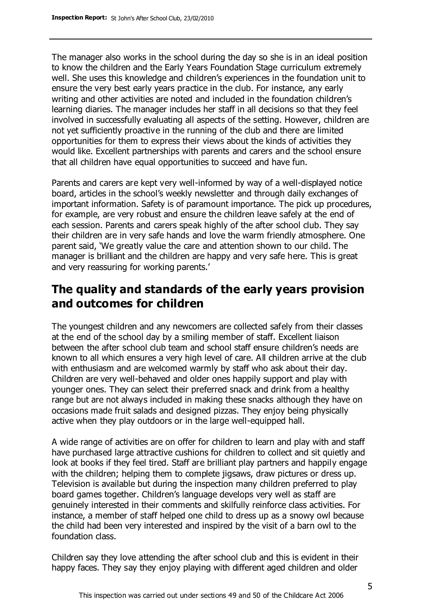The manager also works in the school during the day so she is in an ideal position to know the children and the Early Years Foundation Stage curriculum extremely well. She uses this knowledge and children's experiences in the foundation unit to ensure the very best early years practice in the club. For instance, any early writing and other activities are noted and included in the foundation children's learning diaries. The manager includes her staff in all decisions so that they feel involved in successfully evaluating all aspects of the setting. However, children are not yet sufficiently proactive in the running of the club and there are limited opportunities for them to express their views about the kinds of activities they would like. Excellent partnerships with parents and carers and the school ensure that all children have equal opportunities to succeed and have fun.

Parents and carers are kept very well-informed by way of a well-displayed notice board, articles in the school's weekly newsletter and through daily exchanges of important information. Safety is of paramount importance. The pick up procedures, for example, are very robust and ensure the children leave safely at the end of each session. Parents and carers speak highly of the after school club. They say their children are in very safe hands and love the warm friendly atmosphere. One parent said, 'We greatly value the care and attention shown to our child. The manager is brilliant and the children are happy and very safe here. This is great and very reassuring for working parents.'

## **The quality and standards of the early years provision and outcomes for children**

The youngest children and any newcomers are collected safely from their classes at the end of the school day by a smiling member of staff. Excellent liaison between the after school club team and school staff ensure children's needs are known to all which ensures a very high level of care. All children arrive at the club with enthusiasm and are welcomed warmly by staff who ask about their day. Children are very well-behaved and older ones happily support and play with younger ones. They can select their preferred snack and drink from a healthy range but are not always included in making these snacks although they have on occasions made fruit salads and designed pizzas. They enjoy being physically active when they play outdoors or in the large well-equipped hall.

A wide range of activities are on offer for children to learn and play with and staff have purchased large attractive cushions for children to collect and sit quietly and look at books if they feel tired. Staff are brilliant play partners and happily engage with the children; helping them to complete jigsaws, draw pictures or dress up. Television is available but during the inspection many children preferred to play board games together. Children's language develops very well as staff are genuinely interested in their comments and skilfully reinforce class activities. For instance, a member of staff helped one child to dress up as a snowy owl because the child had been very interested and inspired by the visit of a barn owl to the foundation class.

Children say they love attending the after school club and this is evident in their happy faces. They say they enjoy playing with different aged children and older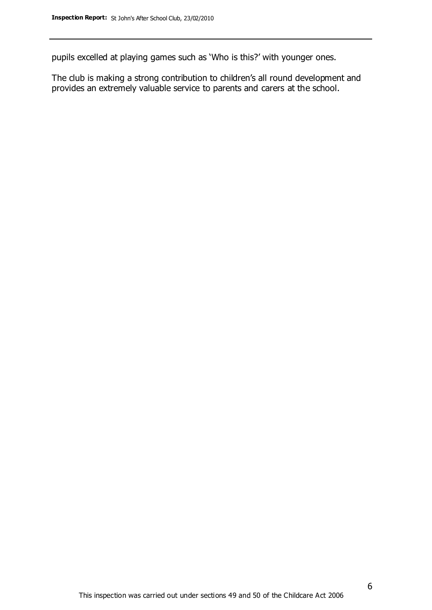pupils excelled at playing games such as 'Who is this?' with younger ones.

The club is making a strong contribution to children's all round development and provides an extremely valuable service to parents and carers at the school.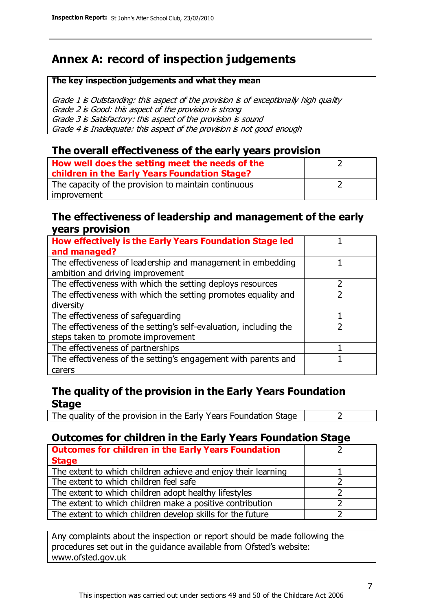# **Annex A: record of inspection judgements**

#### **The key inspection judgements and what they mean**

Grade 1 is Outstanding: this aspect of the provision is of exceptionally high quality Grade 2 is Good: this aspect of the provision is strong Grade 3 is Satisfactory: this aspect of the provision is sound Grade 4 is Inadequate: this aspect of the provision is not good enough

#### **The overall effectiveness of the early years provision**

| How well does the setting meet the needs of the<br>children in the Early Years Foundation Stage? |  |
|--------------------------------------------------------------------------------------------------|--|
| The capacity of the provision to maintain continuous                                             |  |
| improvement                                                                                      |  |

#### **The effectiveness of leadership and management of the early years provision**

| How effectively is the Early Years Foundation Stage led           |  |
|-------------------------------------------------------------------|--|
| and managed?                                                      |  |
| The effectiveness of leadership and management in embedding       |  |
| ambition and driving improvement                                  |  |
| The effectiveness with which the setting deploys resources        |  |
| The effectiveness with which the setting promotes equality and    |  |
| diversity                                                         |  |
| The effectiveness of safeguarding                                 |  |
| The effectiveness of the setting's self-evaluation, including the |  |
| steps taken to promote improvement                                |  |
| The effectiveness of partnerships                                 |  |
| The effectiveness of the setting's engagement with parents and    |  |
| carers                                                            |  |

#### **The quality of the provision in the Early Years Foundation Stage**

The quality of the provision in the Early Years Foundation Stage  $\vert$  2

#### **Outcomes for children in the Early Years Foundation Stage**

| <b>Outcomes for children in the Early Years Foundation</b>    |  |
|---------------------------------------------------------------|--|
| <b>Stage</b>                                                  |  |
| The extent to which children achieve and enjoy their learning |  |
| The extent to which children feel safe                        |  |
| The extent to which children adopt healthy lifestyles         |  |
| The extent to which children make a positive contribution     |  |
| The extent to which children develop skills for the future    |  |

Any complaints about the inspection or report should be made following the procedures set out in the guidance available from Ofsted's website: www.ofsted.gov.uk